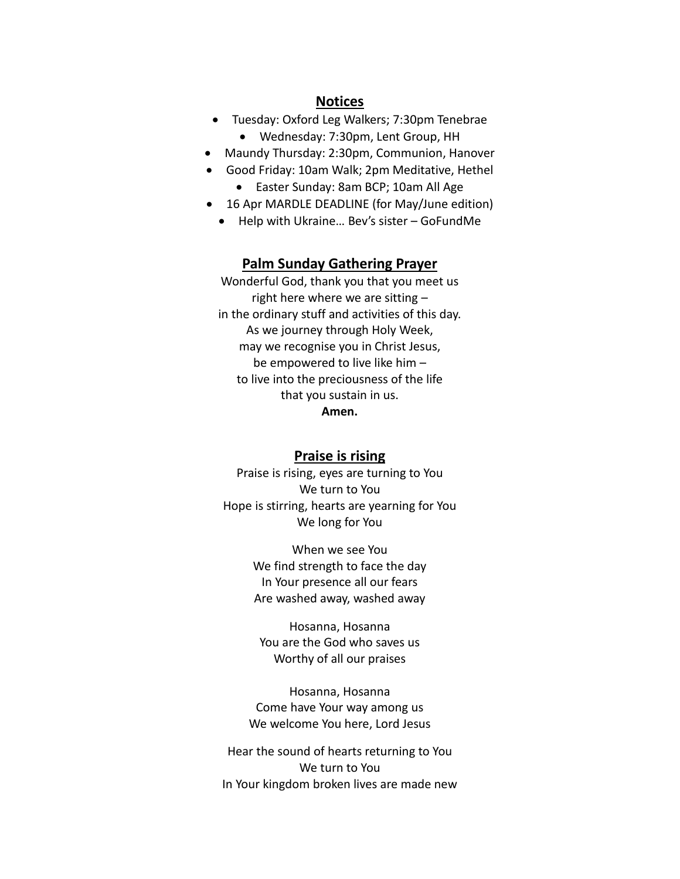## **Notices**

- Tuesday: Oxford Leg Walkers; 7:30pm Tenebrae
	- Wednesday: 7:30pm, Lent Group, HH
- Maundy Thursday: 2:30pm, Communion, Hanover
- Good Friday: 10am Walk; 2pm Meditative, Hethel
	- Easter Sunday: 8am BCP; 10am All Age
- 16 Apr MARDLE DEADLINE (for May/June edition)
	- Help with Ukraine... Bev's sister GoFundMe

## **Palm Sunday Gathering Prayer**

Wonderful God, thank you that you meet us right here where we are sitting – in the ordinary stuff and activities of this day. As we journey through Holy Week, may we recognise you in Christ Jesus, be empowered to live like him – to live into the preciousness of the life that you sustain in us. **Amen.**

### **Praise is rising**

Praise is rising, eyes are turning to You We turn to You Hope is stirring, hearts are yearning for You We long for You

> When we see You We find strength to face the day In Your presence all our fears Are washed away, washed away

Hosanna, Hosanna You are the God who saves us Worthy of all our praises

Hosanna, Hosanna Come have Your way among us We welcome You here, Lord Jesus

Hear the sound of hearts returning to You We turn to You In Your kingdom broken lives are made new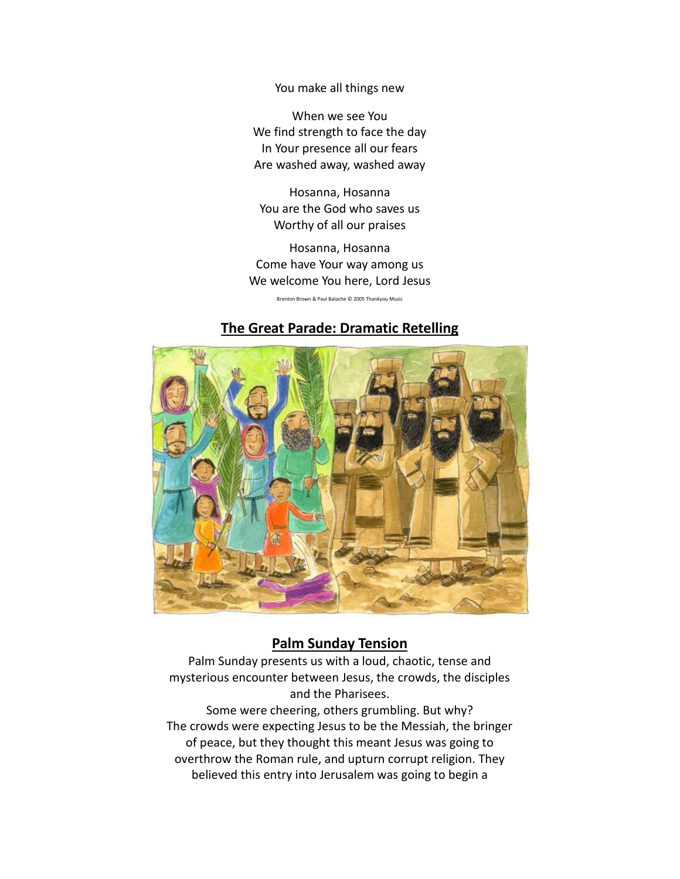You make all things new

When we see You We find strength to face the day In Your presence all our fears Are washed away, washed away

Hosanna, Hosanna You are the God who saves us Worthy of all our praises

Hosanna, Hosanna Come have Your way among us We welcome You here, Lord Jesus

Brenton Brown & Paul Baloche © 2005 Thankyou Music

# **The Great Parade: Dramatic Retelling**



# **Palm Sunday Tension**

Palm Sunday presents us with a loud, chaotic, tense and mysterious encounter between Jesus, the crowds, the disciples and the Pharisees.

Some were cheering, others grumbling. But why? The crowds were expecting Jesus to be the Messiah, the bringer of peace, but they thought this meant Jesus was going to overthrow the Roman rule, and upturn corrupt religion. They believed this entry into Jerusalem was going to begin a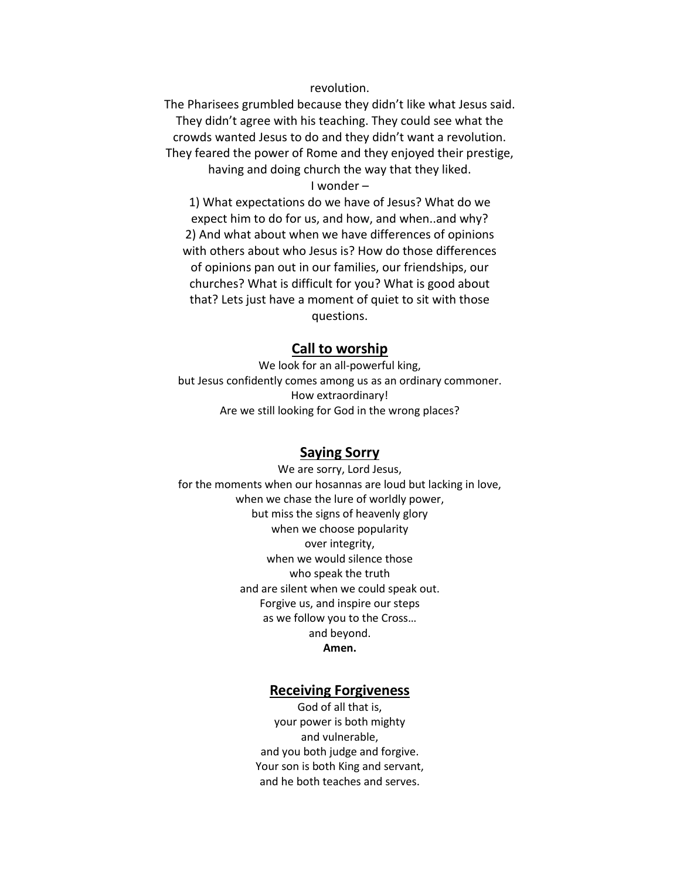revolution.

The Pharisees grumbled because they didn't like what Jesus said. They didn't agree with his teaching. They could see what the crowds wanted Jesus to do and they didn't want a revolution. They feared the power of Rome and they enjoyed their prestige, having and doing church the way that they liked. I wonder –

1) What expectations do we have of Jesus? What do we expect him to do for us, and how, and when..and why? 2) And what about when we have differences of opinions with others about who Jesus is? How do those differences of opinions pan out in our families, our friendships, our churches? What is difficult for you? What is good about that? Lets just have a moment of quiet to sit with those questions.

### **Call to worship**

We look for an all-powerful king, but Jesus confidently comes among us as an ordinary commoner. How extraordinary! Are we still looking for God in the wrong places?

# **Saying Sorry**

We are sorry, Lord Jesus, for the moments when our hosannas are loud but lacking in love, when we chase the lure of worldly power, but miss the signs of heavenly glory when we choose popularity over integrity, when we would silence those who speak the truth and are silent when we could speak out. Forgive us, and inspire our steps as we follow you to the Cross… and beyond. **Amen.**

## **Receiving Forgiveness**

God of all that is, your power is both mighty and vulnerable, and you both judge and forgive. Your son is both King and servant, and he both teaches and serves.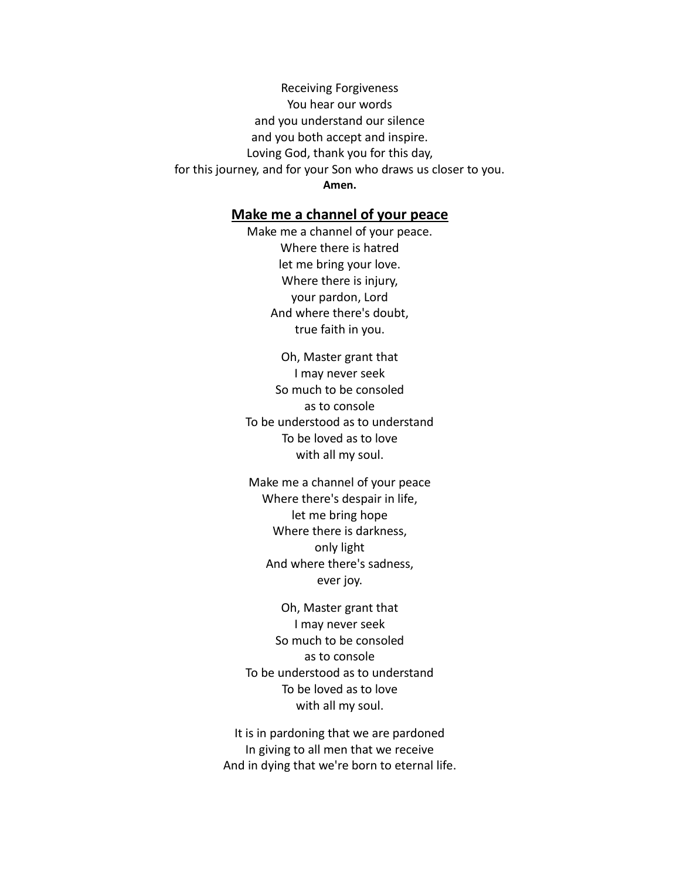Receiving Forgiveness You hear our words and you understand our silence and you both accept and inspire. Loving God, thank you for this day, for this journey, and for your Son who draws us closer to you. **Amen.**

### **Make me a channel of your peace**

Make me a channel of your peace. Where there is hatred let me bring your love. Where there is injury, your pardon, Lord And where there's doubt, true faith in you.

Oh, Master grant that I may never seek So much to be consoled as to console To be understood as to understand To be loved as to love with all my soul.

Make me a channel of your peace Where there's despair in life, let me bring hope Where there is darkness, only light And where there's sadness, ever joy.

Oh, Master grant that I may never seek So much to be consoled as to console To be understood as to understand To be loved as to love with all my soul.

It is in pardoning that we are pardoned In giving to all men that we receive And in dying that we're born to eternal life.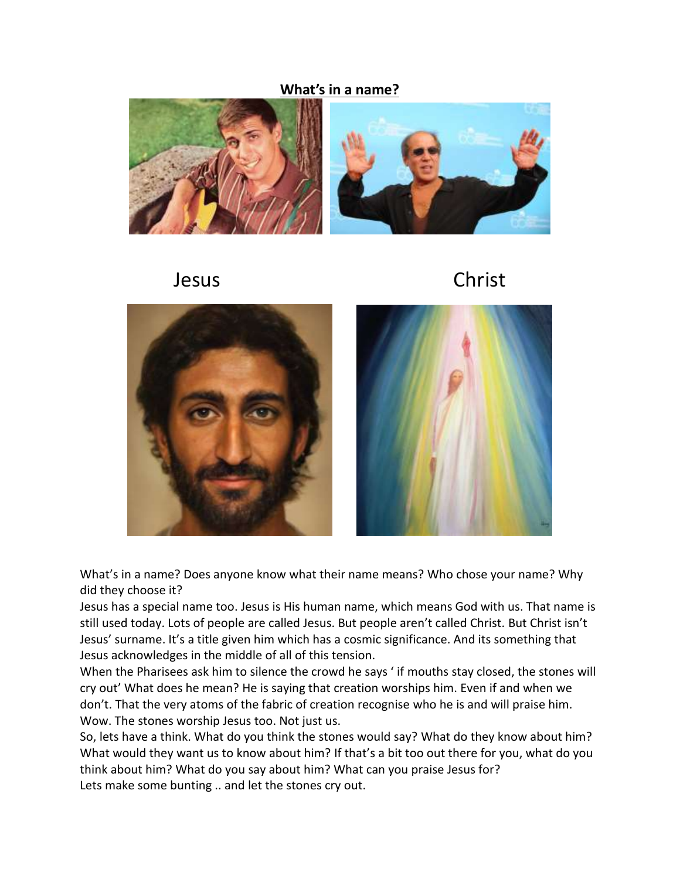**What's in a name?**



# Jesus Christ





What's in a name? Does anyone know what their name means? Who chose your name? Why did they choose it?

Jesus has a special name too. Jesus is His human name, which means God with us. That name is still used today. Lots of people are called Jesus. But people aren't called Christ. But Christ isn't Jesus' surname. It's a title given him which has a cosmic significance. And its something that Jesus acknowledges in the middle of all of this tension.

When the Pharisees ask him to silence the crowd he says ' if mouths stay closed, the stones will cry out' What does he mean? He is saying that creation worships him. Even if and when we don't. That the very atoms of the fabric of creation recognise who he is and will praise him. Wow. The stones worship Jesus too. Not just us.

So, lets have a think. What do you think the stones would say? What do they know about him? What would they want us to know about him? If that's a bit too out there for you, what do you think about him? What do you say about him? What can you praise Jesus for? Lets make some bunting .. and let the stones cry out.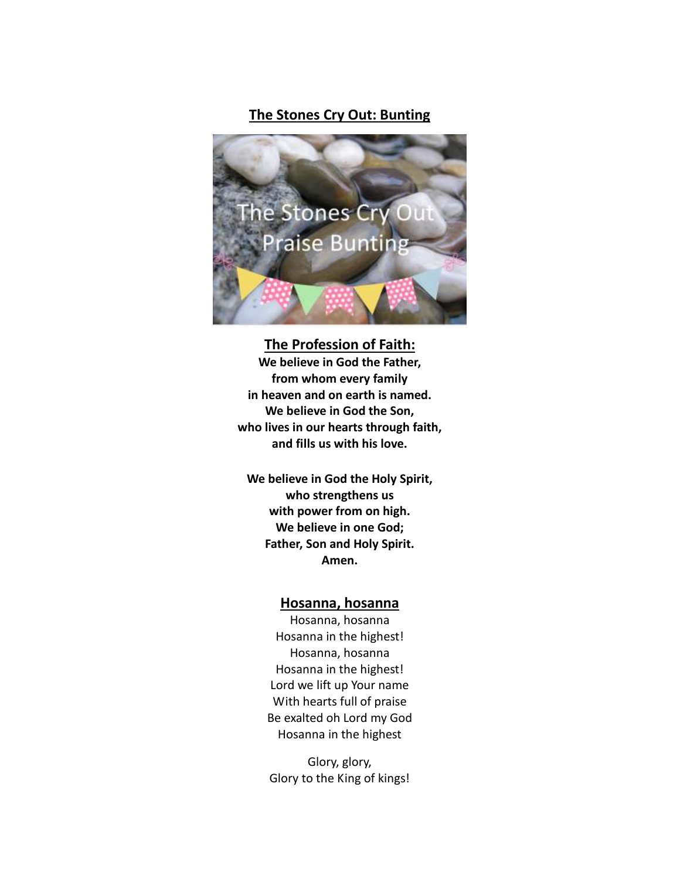## **The Stones Cry Out: Bunting**



**The Profession of Faith: We believe in God the Father, from whom every family in heaven and on earth is named. We believe in God the Son, who lives in our hearts through faith, and fills us with his love.**

**We believe in God the Holy Spirit, who strengthens us with power from on high. We believe in one God; Father, Son and Holy Spirit. Amen.**

## **Hosanna, hosanna**

Hosanna, hosanna Hosanna in the highest! Hosanna, hosanna Hosanna in the highest! Lord we lift up Your name With hearts full of praise Be exalted oh Lord my God Hosanna in the highest

Glory, glory, Glory to the King of kings!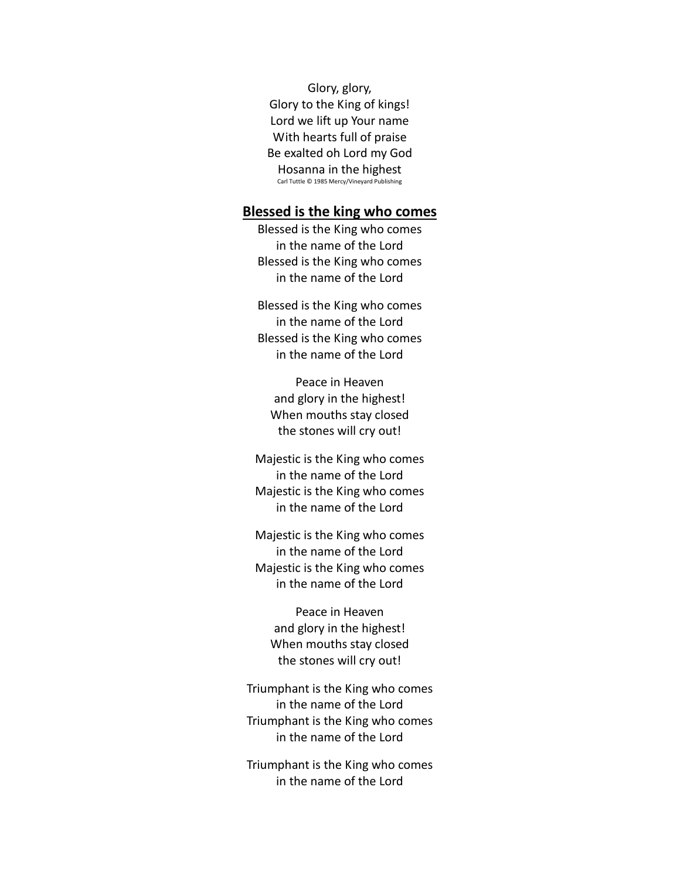Glory, glory, Glory to the King of kings! Lord we lift up Your name With hearts full of praise Be exalted oh Lord my God Hosanna in the highest Carl Tuttle © 1985 Mercy/Vineyard Publishing

### **Blessed is the king who comes**

Blessed is the King who comes in the name of the Lord Blessed is the King who comes in the name of the Lord

Blessed is the King who comes in the name of the Lord Blessed is the King who comes in the name of the Lord

Peace in Heaven and glory in the highest! When mouths stay closed the stones will cry out!

Majestic is the King who comes in the name of the Lord Majestic is the King who comes in the name of the Lord

Majestic is the King who comes in the name of the Lord Majestic is the King who comes in the name of the Lord

Peace in Heaven and glory in the highest! When mouths stay closed the stones will cry out!

Triumphant is the King who comes in the name of the Lord Triumphant is the King who comes in the name of the Lord

Triumphant is the King who comes in the name of the Lord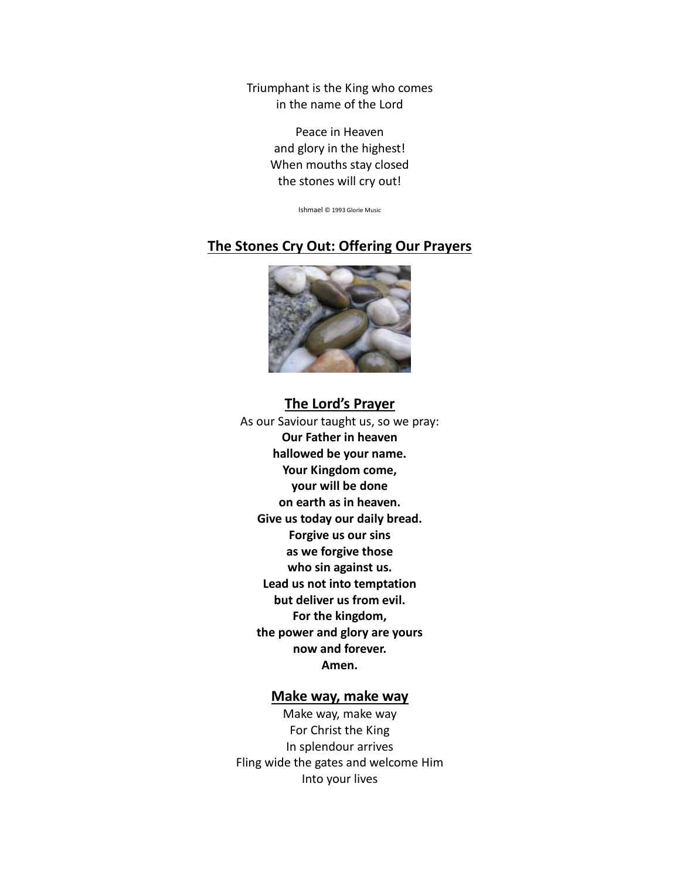Triumphant is the King who comes in the name of the Lord

> Peace in Heaven and glory in the highest! When mouths stay closed the stones will cry out!

> > Ishmael © 1993 Glorie Music

# **The Stones Cry Out: Offering Our Prayers**



#### **The Lord's Prayer**

As our Saviour taught us, so we pray: **Our Father in heaven hallowed be your name. Your Kingdom come, your will be done on earth as in heaven. Give us today our daily bread. Forgive us our sins as we forgive those who sin against us. Lead us not into temptation but deliver us from evil. For the kingdom, the power and glory are yours now and forever. Amen.**

### **Make way, make way**

Make way, make way For Christ the King In splendour arrives Fling wide the gates and welcome Him Into your lives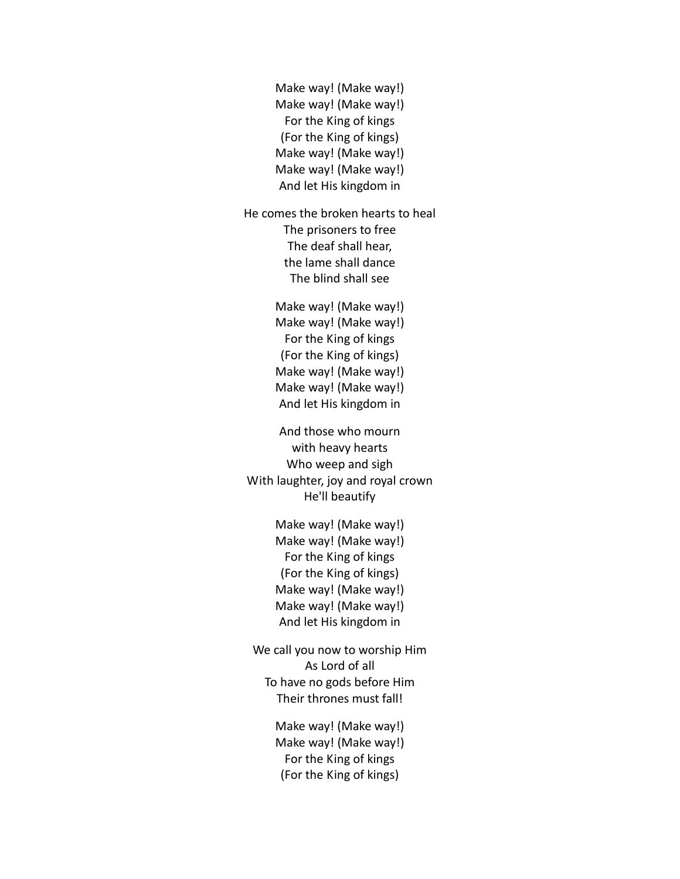Make way! (Make way!) Make way! (Make way!) For the King of kings (For the King of kings) Make way! (Make way!) Make way! (Make way!) And let His kingdom in

He comes the broken hearts to heal The prisoners to free The deaf shall hear, the lame shall dance The blind shall see

> Make way! (Make way!) Make way! (Make way!) For the King of kings (For the King of kings) Make way! (Make way!) Make way! (Make way!) And let His kingdom in

And those who mourn with heavy hearts Who weep and sigh With laughter, joy and royal crown He'll beautify

> Make way! (Make way!) Make way! (Make way!) For the King of kings (For the King of kings) Make way! (Make way!) Make way! (Make way!) And let His kingdom in

We call you now to worship Him As Lord of all To have no gods before Him Their thrones must fall!

> Make way! (Make way!) Make way! (Make way!) For the King of kings (For the King of kings)